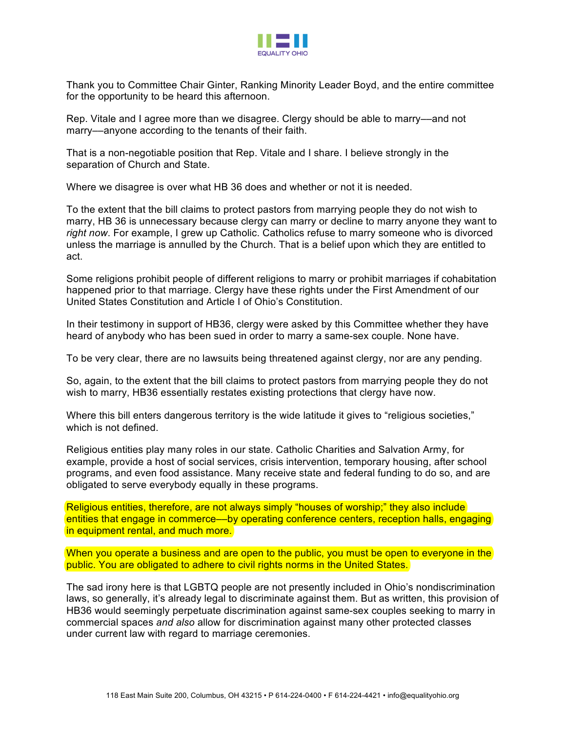

Thank you to Committee Chair Ginter, Ranking Minority Leader Boyd, and the entire committee for the opportunity to be heard this afternoon.

Rep. Vitale and I agree more than we disagree. Clergy should be able to marry––and not marry––anyone according to the tenants of their faith.

That is a non-negotiable position that Rep. Vitale and I share. I believe strongly in the separation of Church and State.

Where we disagree is over what HB 36 does and whether or not it is needed.

To the extent that the bill claims to protect pastors from marrying people they do not wish to marry, HB 36 is unnecessary because clergy can marry or decline to marry anyone they want to *right now*. For example, I grew up Catholic. Catholics refuse to marry someone who is divorced unless the marriage is annulled by the Church. That is a belief upon which they are entitled to act.

Some religions prohibit people of different religions to marry or prohibit marriages if cohabitation happened prior to that marriage. Clergy have these rights under the First Amendment of our United States Constitution and Article I of Ohio's Constitution.

In their testimony in support of HB36, clergy were asked by this Committee whether they have heard of anybody who has been sued in order to marry a same-sex couple. None have.

To be very clear, there are no lawsuits being threatened against clergy, nor are any pending.

So, again, to the extent that the bill claims to protect pastors from marrying people they do not wish to marry, HB36 essentially restates existing protections that clergy have now.

Where this bill enters dangerous territory is the wide latitude it gives to "religious societies," which is not defined.

Religious entities play many roles in our state. Catholic Charities and Salvation Army, for example, provide a host of social services, crisis intervention, temporary housing, after school programs, and even food assistance. Many receive state and federal funding to do so, and are obligated to serve everybody equally in these programs.

Religious entities, therefore, are not always simply "houses of worship;" they also include entities that engage in commerce––by operating conference centers, reception halls, engaging in equipment rental, and much more.

When you operate a business and are open to the public, you must be open to everyone in the public. You are obligated to adhere to civil rights norms in the United States.

The sad irony here is that LGBTQ people are not presently included in Ohio's nondiscrimination laws, so generally, it's already legal to discriminate against them. But as written, this provision of HB36 would seemingly perpetuate discrimination against same-sex couples seeking to marry in commercial spaces *and also* allow for discrimination against many other protected classes under current law with regard to marriage ceremonies.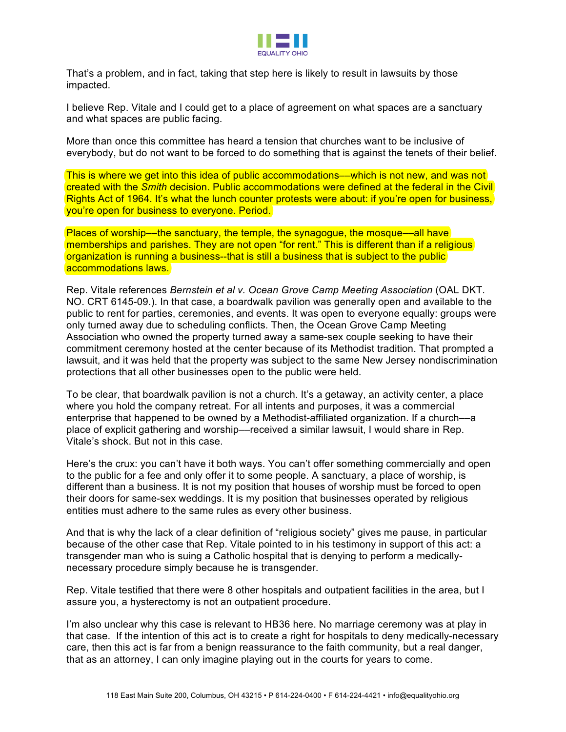

That's a problem, and in fact, taking that step here is likely to result in lawsuits by those impacted.

I believe Rep. Vitale and I could get to a place of agreement on what spaces are a sanctuary and what spaces are public facing.

More than once this committee has heard a tension that churches want to be inclusive of everybody, but do not want to be forced to do something that is against the tenets of their belief.

This is where we get into this idea of public accommodations—which is not new, and was not created with the *Smith* decision. Public accommodations were defined at the federal in the Civil Rights Act of 1964. It's what the lunch counter protests were about: if you're open for business, you're open for business to everyone. Period.

Places of worship—the sanctuary, the temple, the synagogue, the mosque—all have memberships and parishes. They are not open "for rent." This is different than if a religious organization is running a business--that is still a business that is subject to the public accommodations laws.

Rep. Vitale references *Bernstein et al v. Ocean Grove Camp Meeting Association* (OAL DKT. NO. CRT 6145-09.). In that case, a boardwalk pavilion was generally open and available to the public to rent for parties, ceremonies, and events. It was open to everyone equally: groups were only turned away due to scheduling conflicts. Then, the Ocean Grove Camp Meeting Association who owned the property turned away a same-sex couple seeking to have their commitment ceremony hosted at the center because of its Methodist tradition. That prompted a lawsuit, and it was held that the property was subject to the same New Jersey nondiscrimination protections that all other businesses open to the public were held.

To be clear, that boardwalk pavilion is not a church. It's a getaway, an activity center, a place where you hold the company retreat. For all intents and purposes, it was a commercial enterprise that happened to be owned by a Methodist-affiliated organization. If a church––a place of explicit gathering and worship––received a similar lawsuit, I would share in Rep. Vitale's shock. But not in this case.

Here's the crux: you can't have it both ways. You can't offer something commercially and open to the public for a fee and only offer it to some people. A sanctuary, a place of worship, is different than a business. It is not my position that houses of worship must be forced to open their doors for same-sex weddings. It is my position that businesses operated by religious entities must adhere to the same rules as every other business.

And that is why the lack of a clear definition of "religious society" gives me pause, in particular because of the other case that Rep. Vitale pointed to in his testimony in support of this act: a transgender man who is suing a Catholic hospital that is denying to perform a medicallynecessary procedure simply because he is transgender.

Rep. Vitale testified that there were 8 other hospitals and outpatient facilities in the area, but I assure you, a hysterectomy is not an outpatient procedure.

I'm also unclear why this case is relevant to HB36 here. No marriage ceremony was at play in that case. If the intention of this act is to create a right for hospitals to deny medically-necessary care, then this act is far from a benign reassurance to the faith community, but a real danger, that as an attorney, I can only imagine playing out in the courts for years to come.